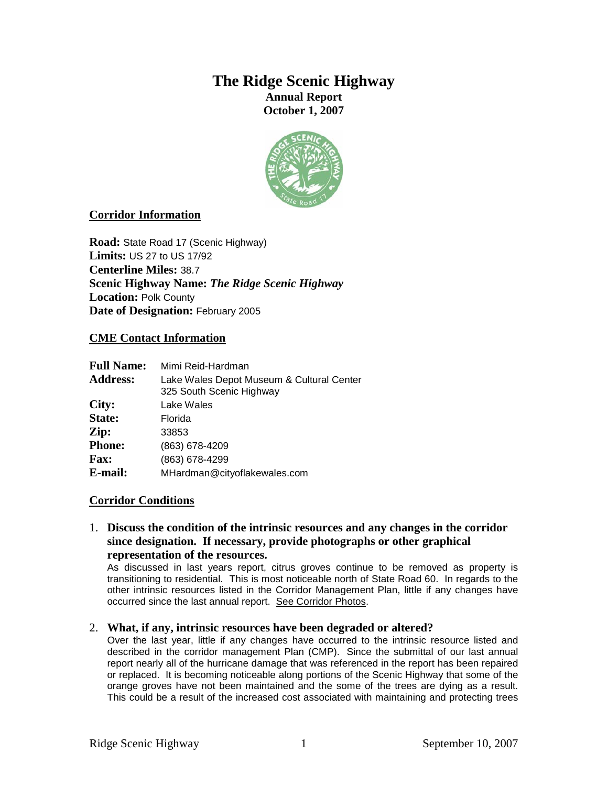# **The Ridge Scenic Highway Annual Report October 1, 2007**



# **Corridor Information**

**Road:** State Road 17 (Scenic Highway) **Limits:** US 27 to US 17/92 **Centerline Miles:** 38.7 **Scenic Highway Name:** *The Ridge Scenic Highway* **Location:** Polk County **Date of Designation:** February 2005

### **CME Contact Information**

| <b>Full Name:</b> | Mimi Reid-Hardman                                                     |
|-------------------|-----------------------------------------------------------------------|
| <b>Address:</b>   | Lake Wales Depot Museum & Cultural Center<br>325 South Scenic Highway |
| City:             | Lake Wales                                                            |
| State:            | Florida                                                               |
| Zip:              | 33853                                                                 |
| <b>Phone:</b>     | (863) 678-4209                                                        |
| <b>Fax:</b>       | (863) 678-4299                                                        |
| E-mail:           | MHardman@cityoflakewales.com                                          |

### **Corridor Conditions**

1. **Discuss the condition of the intrinsic resources and any changes in the corridor since designation. If necessary, provide photographs or other graphical representation of the resources.** 

As discussed in last years report, citrus groves continue to be removed as property is transitioning to residential. This is most noticeable north of State Road 60. In regards to the other intrinsic resources listed in the Corridor Management Plan, little if any changes have occurred since the last annual report. See Corridor Photos.

#### 2. **What, if any, intrinsic resources have been degraded or altered?**

Over the last year, little if any changes have occurred to the intrinsic resource listed and described in the corridor management Plan (CMP). Since the submittal of our last annual report nearly all of the hurricane damage that was referenced in the report has been repaired or replaced. It is becoming noticeable along portions of the Scenic Highway that some of the orange groves have not been maintained and the some of the trees are dying as a result. This could be a result of the increased cost associated with maintaining and protecting trees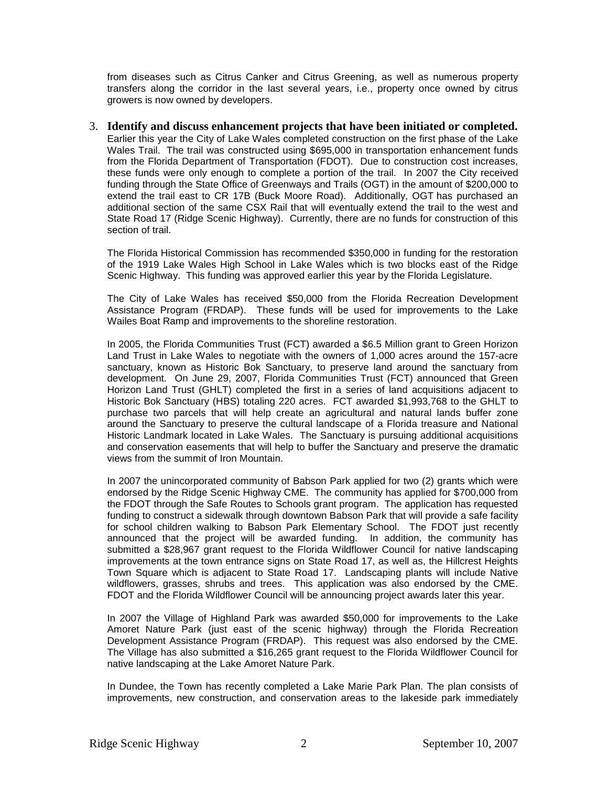from diseases such as Citrus Canker and Citrus Greening, as well as numerous property transfers along the corridor in the last several years, i.e., property once owned by citrus growers is now owned by developers.

#### 3. **Identify and discuss enhancement projects that have been initiated or completed.**

Earlier this year the City of Lake Wales completed construction on the first phase of the Lake Wales Trail. The trail was constructed using \$695,000 in transportation enhancement funds from the Florida Department of Transportation (FDOT). Due to construction cost increases, these funds were only enough to complete a portion of the trail. In 2007 the City received funding through the State Office of Greenways and Trails (OGT) in the amount of \$200,000 to extend the trail east to CR 17B (Buck Moore Road). Additionally, OGT has purchased an additional section of the same CSX Rail that will eventually extend the trail to the west and State Road 17 (Ridge Scenic Highway). Currently, there are no funds for construction of this section of trail.

The Florida Historical Commission has recommended \$350,000 in funding for the restoration of the 1919 Lake Wales High School in Lake Wales which is two blocks east of the Ridge Scenic Highway. This funding was approved earlier this year by the Florida Legislature.

The City of Lake Wales has received \$50,000 from the Florida Recreation Development Assistance Program (FRDAP). These funds will be used for improvements to the Lake Wailes Boat Ramp and improvements to the shoreline restoration.

In 2005, the Florida Communities Trust (FCT) awarded a \$6.5 Million grant to Green Horizon Land Trust in Lake Wales to negotiate with the owners of 1,000 acres around the 157-acre sanctuary, known as Historic Bok Sanctuary, to preserve land around the sanctuary from development. On June 29, 2007, Florida Communities Trust (FCT) announced that Green Horizon Land Trust (GHLT) completed the first in a series of land acquisitions adjacent to Historic Bok Sanctuary (HBS) totaling 220 acres. FCT awarded \$1,993,768 to the GHLT to purchase two parcels that will help create an agricultural and natural lands buffer zone around the Sanctuary to preserve the cultural landscape of a Florida treasure and National Historic Landmark located in Lake Wales. The Sanctuary is pursuing additional acquisitions and conservation easements that will help to buffer the Sanctuary and preserve the dramatic views from the summit of Iron Mountain.

In 2007 the unincorporated community of Babson Park applied for two (2) grants which were endorsed by the Ridge Scenic Highway CME. The community has applied for \$700,000 from the FDOT through the Safe Routes to Schools grant program. The application has requested funding to construct a sidewalk through downtown Babson Park that will provide a safe facility for school children walking to Babson Park Elementary School. The FDOT just recently announced that the project will be awarded funding. In addition, the community has submitted a \$28,967 grant request to the Florida Wildflower Council for native landscaping improvements at the town entrance signs on State Road 17, as well as, the Hillcrest Heights Town Square which is adjacent to State Road 17. Landscaping plants will include Native wildflowers, grasses, shrubs and trees. This application was also endorsed by the CME. FDOT and the Florida Wildflower Council will be announcing project awards later this year.

In 2007 the Village of Highland Park was awarded \$50,000 for improvements to the Lake Amoret Nature Park (just east of the scenic highway) through the Florida Recreation Development Assistance Program (FRDAP). This request was also endorsed by the CME. The Village has also submitted a \$16,265 grant request to the Florida Wildflower Council for native landscaping at the Lake Amoret Nature Park.

In Dundee, the Town has recently completed a Lake Marie Park Plan. The plan consists of improvements, new construction, and conservation areas to the lakeside park immediately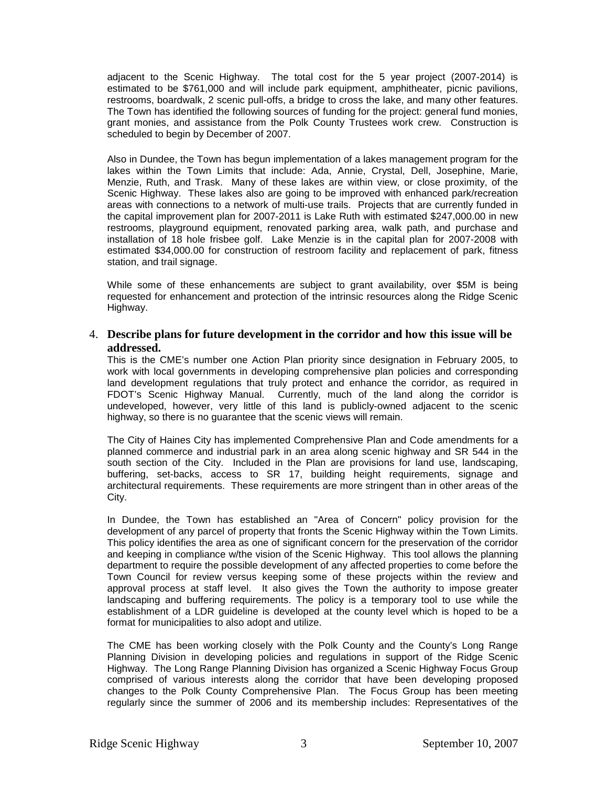adjacent to the Scenic Highway. The total cost for the 5 year project (2007-2014) is estimated to be \$761,000 and will include park equipment, amphitheater, picnic pavilions, restrooms, boardwalk, 2 scenic pull-offs, a bridge to cross the lake, and many other features. The Town has identified the following sources of funding for the project: general fund monies, grant monies, and assistance from the Polk County Trustees work crew. Construction is scheduled to begin by December of 2007.

Also in Dundee, the Town has begun implementation of a lakes management program for the lakes within the Town Limits that include: Ada, Annie, Crystal, Dell, Josephine, Marie, Menzie, Ruth, and Trask. Many of these lakes are within view, or close proximity, of the Scenic Highway. These lakes also are going to be improved with enhanced park/recreation areas with connections to a network of multi-use trails. Projects that are currently funded in the capital improvement plan for 2007-2011 is Lake Ruth with estimated \$247,000.00 in new restrooms, playground equipment, renovated parking area, walk path, and purchase and installation of 18 hole frisbee golf. Lake Menzie is in the capital plan for 2007-2008 with estimated \$34,000.00 for construction of restroom facility and replacement of park, fitness station, and trail signage.

While some of these enhancements are subject to grant availability, over \$5M is being requested for enhancement and protection of the intrinsic resources along the Ridge Scenic Highway.

### 4. **Describe plans for future development in the corridor and how this issue will be addressed.**

This is the CME's number one Action Plan priority since designation in February 2005, to work with local governments in developing comprehensive plan policies and corresponding land development regulations that truly protect and enhance the corridor, as required in FDOT's Scenic Highway Manual. Currently, much of the land along the corridor is undeveloped, however, very little of this land is publicly-owned adjacent to the scenic highway, so there is no guarantee that the scenic views will remain.

The City of Haines City has implemented Comprehensive Plan and Code amendments for a planned commerce and industrial park in an area along scenic highway and SR 544 in the south section of the City. Included in the Plan are provisions for land use, landscaping, buffering, set-backs, access to SR 17, building height requirements, signage and architectural requirements. These requirements are more stringent than in other areas of the City.

In Dundee, the Town has established an "Area of Concern" policy provision for the development of any parcel of property that fronts the Scenic Highway within the Town Limits. This policy identifies the area as one of significant concern for the preservation of the corridor and keeping in compliance w/the vision of the Scenic Highway. This tool allows the planning department to require the possible development of any affected properties to come before the Town Council for review versus keeping some of these projects within the review and approval process at staff level. It also gives the Town the authority to impose greater landscaping and buffering requirements. The policy is a temporary tool to use while the establishment of a LDR guideline is developed at the county level which is hoped to be a format for municipalities to also adopt and utilize.

The CME has been working closely with the Polk County and the County's Long Range Planning Division in developing policies and regulations in support of the Ridge Scenic Highway. The Long Range Planning Division has organized a Scenic Highway Focus Group comprised of various interests along the corridor that have been developing proposed changes to the Polk County Comprehensive Plan. The Focus Group has been meeting regularly since the summer of 2006 and its membership includes: Representatives of the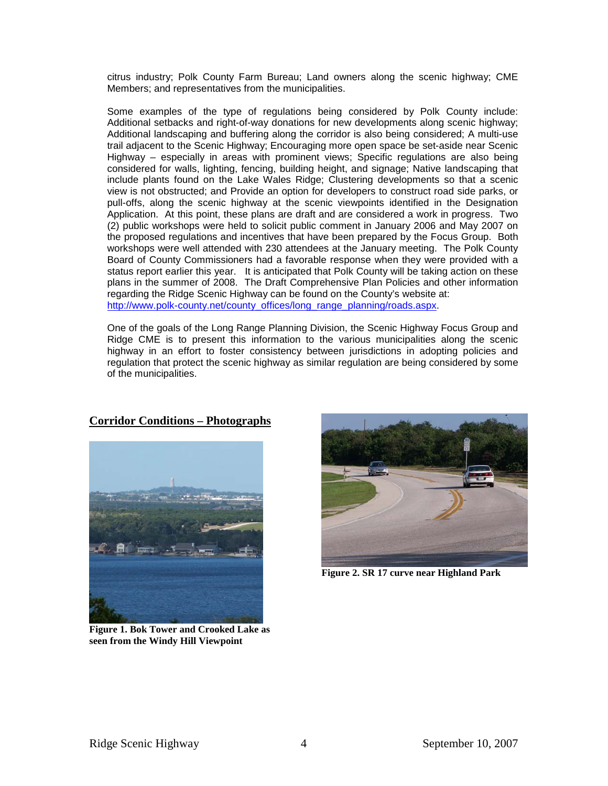citrus industry; Polk County Farm Bureau; Land owners along the scenic highway; CME Members; and representatives from the municipalities.

Some examples of the type of regulations being considered by Polk County include: Additional setbacks and right-of-way donations for new developments along scenic highway; Additional landscaping and buffering along the corridor is also being considered; A multi-use trail adjacent to the Scenic Highway; Encouraging more open space be set-aside near Scenic Highway – especially in areas with prominent views; Specific regulations are also being considered for walls, lighting, fencing, building height, and signage; Native landscaping that include plants found on the Lake Wales Ridge; Clustering developments so that a scenic view is not obstructed; and Provide an option for developers to construct road side parks, or pull-offs, along the scenic highway at the scenic viewpoints identified in the Designation Application. At this point, these plans are draft and are considered a work in progress. Two (2) public workshops were held to solicit public comment in January 2006 and May 2007 on the proposed regulations and incentives that have been prepared by the Focus Group. Both workshops were well attended with 230 attendees at the January meeting. The Polk County Board of County Commissioners had a favorable response when they were provided with a status report earlier this year. It is anticipated that Polk County will be taking action on these plans in the summer of 2008. The Draft Comprehensive Plan Policies and other information regarding the Ridge Scenic Highway can be found on the County's website at: http://www.polk-county.net/county\_offices/long\_range\_planning/roads.aspx.

One of the goals of the Long Range Planning Division, the Scenic Highway Focus Group and Ridge CME is to present this information to the various municipalities along the scenic highway in an effort to foster consistency between jurisdictions in adopting policies and regulation that protect the scenic highway as similar regulation are being considered by some of the municipalities.



### **Corridor Conditions – Photographs**

**Figure 1. Bok Tower and Crooked Lake as seen from the Windy Hill Viewpoint** 



**Figure 2. SR 17 curve near Highland Park**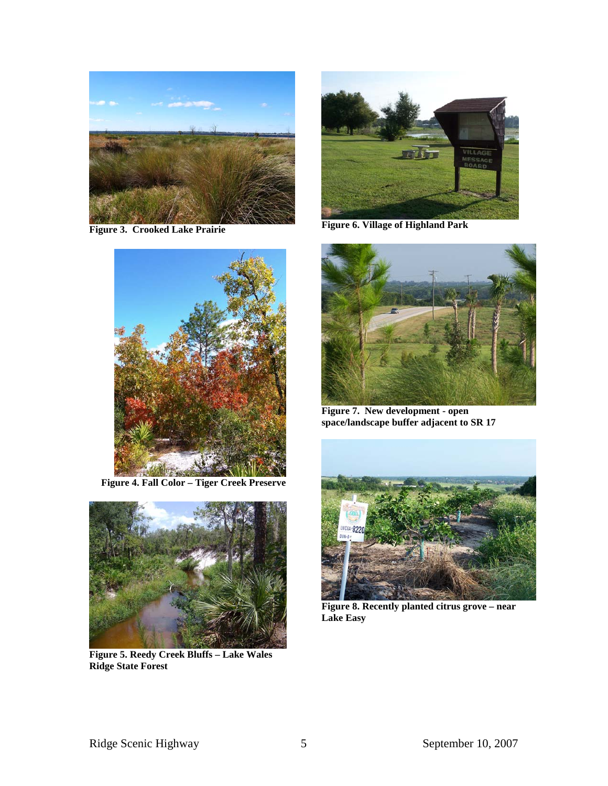

**Figure 3. Crooked Lake Prairie**



**Figure 4. Fall Color – Tiger Creek Preserve** 



**Figure 5. Reedy Creek Bluffs – Lake Wales Ridge State Forest** 



**Figure 6. Village of Highland Park** 



**Figure 7. New development - open space/landscape buffer adjacent to SR 17** 



**Figure 8. Recently planted citrus grove – near Lake Easy**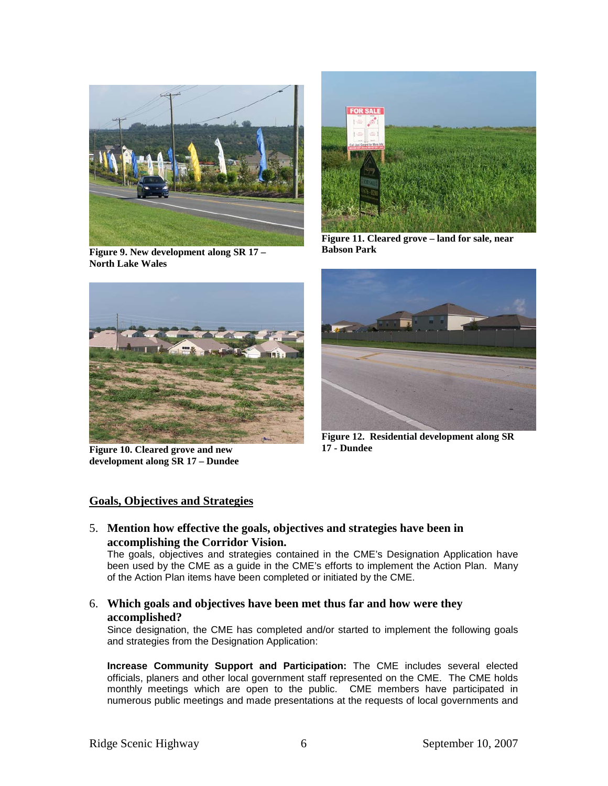

**Figure 9. New development along SR 17 – North Lake Wales** 



**Figure 10. Cleared grove and new development along SR 17 – Dundee** 



**Figure 11. Cleared grove – land for sale, near Babson Park** 



**Figure 12. Residential development along SR 17 - Dundee**

### **Goals, Objectives and Strategies**

5. **Mention how effective the goals, objectives and strategies have been in accomplishing the Corridor Vision.** 

The goals, objectives and strategies contained in the CME's Designation Application have been used by the CME as a guide in the CME's efforts to implement the Action Plan. Many of the Action Plan items have been completed or initiated by the CME.

6. **Which goals and objectives have been met thus far and how were they accomplished?** 

Since designation, the CME has completed and/or started to implement the following goals and strategies from the Designation Application:

**Increase Community Support and Participation:** The CME includes several elected officials, planers and other local government staff represented on the CME. The CME holds monthly meetings which are open to the public. CME members have participated in numerous public meetings and made presentations at the requests of local governments and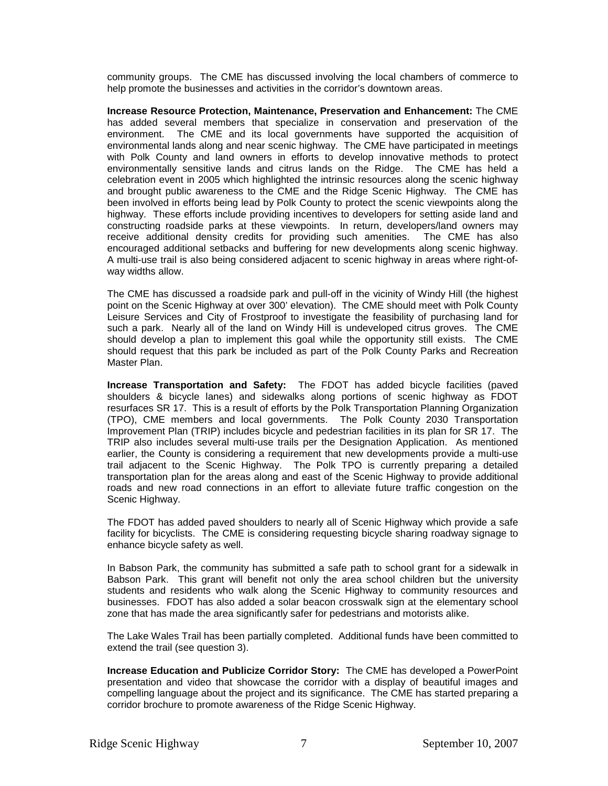community groups. The CME has discussed involving the local chambers of commerce to help promote the businesses and activities in the corridor's downtown areas.

**Increase Resource Protection, Maintenance, Preservation and Enhancement:** The CME has added several members that specialize in conservation and preservation of the environment. The CME and its local governments have supported the acquisition of environmental lands along and near scenic highway. The CME have participated in meetings with Polk County and land owners in efforts to develop innovative methods to protect environmentally sensitive lands and citrus lands on the Ridge. The CME has held a celebration event in 2005 which highlighted the intrinsic resources along the scenic highway and brought public awareness to the CME and the Ridge Scenic Highway. The CME has been involved in efforts being lead by Polk County to protect the scenic viewpoints along the highway. These efforts include providing incentives to developers for setting aside land and constructing roadside parks at these viewpoints. In return, developers/land owners may receive additional density credits for providing such amenities. The CME has also receive additional density credits for providing such amenities. encouraged additional setbacks and buffering for new developments along scenic highway. A multi-use trail is also being considered adjacent to scenic highway in areas where right-ofway widths allow.

The CME has discussed a roadside park and pull-off in the vicinity of Windy Hill (the highest point on the Scenic Highway at over 300' elevation). The CME should meet with Polk County Leisure Services and City of Frostproof to investigate the feasibility of purchasing land for such a park. Nearly all of the land on Windy Hill is undeveloped citrus groves. The CME should develop a plan to implement this goal while the opportunity still exists. The CME should request that this park be included as part of the Polk County Parks and Recreation Master Plan.

**Increase Transportation and Safety:** The FDOT has added bicycle facilities (paved shoulders & bicycle lanes) and sidewalks along portions of scenic highway as FDOT resurfaces SR 17. This is a result of efforts by the Polk Transportation Planning Organization (TPO), CME members and local governments. The Polk County 2030 Transportation Improvement Plan (TRIP) includes bicycle and pedestrian facilities in its plan for SR 17. The TRIP also includes several multi-use trails per the Designation Application. As mentioned earlier, the County is considering a requirement that new developments provide a multi-use trail adjacent to the Scenic Highway. The Polk TPO is currently preparing a detailed transportation plan for the areas along and east of the Scenic Highway to provide additional roads and new road connections in an effort to alleviate future traffic congestion on the Scenic Highway.

The FDOT has added paved shoulders to nearly all of Scenic Highway which provide a safe facility for bicyclists. The CME is considering requesting bicycle sharing roadway signage to enhance bicycle safety as well.

In Babson Park, the community has submitted a safe path to school grant for a sidewalk in Babson Park. This grant will benefit not only the area school children but the university students and residents who walk along the Scenic Highway to community resources and businesses. FDOT has also added a solar beacon crosswalk sign at the elementary school zone that has made the area significantly safer for pedestrians and motorists alike.

The Lake Wales Trail has been partially completed. Additional funds have been committed to extend the trail (see question 3).

**Increase Education and Publicize Corridor Story:** The CME has developed a PowerPoint presentation and video that showcase the corridor with a display of beautiful images and compelling language about the project and its significance. The CME has started preparing a corridor brochure to promote awareness of the Ridge Scenic Highway.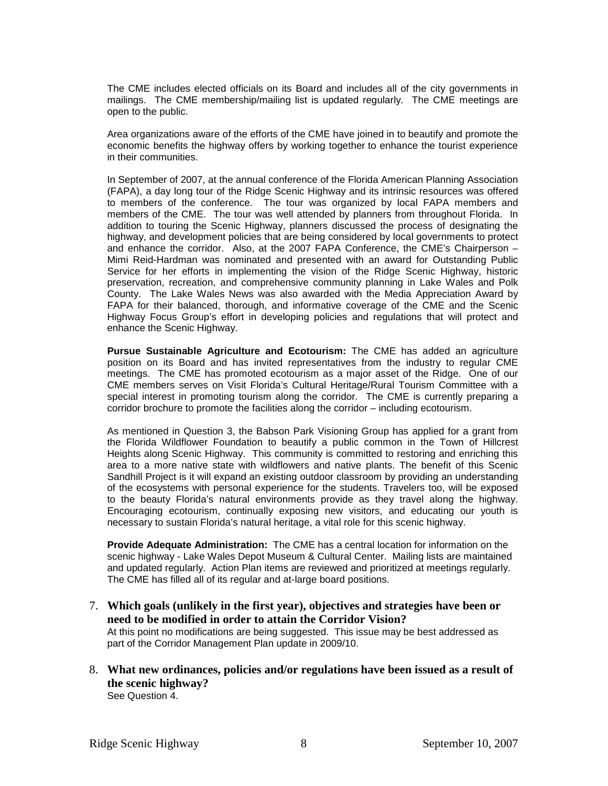The CME includes elected officials on its Board and includes all of the city governments in mailings. The CME membership/mailing list is updated regularly. The CME meetings are open to the public.

Area organizations aware of the efforts of the CME have joined in to beautify and promote the economic benefits the highway offers by working together to enhance the tourist experience in their communities.

In September of 2007, at the annual conference of the Florida American Planning Association (FAPA), a day long tour of the Ridge Scenic Highway and its intrinsic resources was offered to members of the conference. The tour was organized by local FAPA members and members of the CME. The tour was well attended by planners from throughout Florida. In addition to touring the Scenic Highway, planners discussed the process of designating the highway, and development policies that are being considered by local governments to protect and enhance the corridor. Also, at the 2007 FAPA Conference, the CME's Chairperson – Mimi Reid-Hardman was nominated and presented with an award for Outstanding Public Service for her efforts in implementing the vision of the Ridge Scenic Highway, historic preservation, recreation, and comprehensive community planning in Lake Wales and Polk County. The Lake Wales News was also awarded with the Media Appreciation Award by FAPA for their balanced, thorough, and informative coverage of the CME and the Scenic Highway Focus Group's effort in developing policies and regulations that will protect and enhance the Scenic Highway.

**Pursue Sustainable Agriculture and Ecotourism:** The CME has added an agriculture position on its Board and has invited representatives from the industry to regular CME meetings. The CME has promoted ecotourism as a major asset of the Ridge. One of our CME members serves on Visit Florida's Cultural Heritage/Rural Tourism Committee with a special interest in promoting tourism along the corridor. The CME is currently preparing a corridor brochure to promote the facilities along the corridor – including ecotourism.

As mentioned in Question 3, the Babson Park Visioning Group has applied for a grant from the Florida Wildflower Foundation to beautify a public common in the Town of Hillcrest Heights along Scenic Highway. This community is committed to restoring and enriching this area to a more native state with wildflowers and native plants. The benefit of this Scenic Sandhill Project is it will expand an existing outdoor classroom by providing an understanding of the ecosystems with personal experience for the students. Travelers too, will be exposed to the beauty Florida's natural environments provide as they travel along the highway. Encouraging ecotourism, continually exposing new visitors, and educating our youth is necessary to sustain Florida's natural heritage, a vital role for this scenic highway.

**Provide Adequate Administration:** The CME has a central location for information on the scenic highway - Lake Wales Depot Museum & Cultural Center. Mailing lists are maintained and updated regularly. Action Plan items are reviewed and prioritized at meetings regularly. The CME has filled all of its regular and at-large board positions.

- 7. **Which goals (unlikely in the first year), objectives and strategies have been or need to be modified in order to attain the Corridor Vision?**  At this point no modifications are being suggested. This issue may be best addressed as part of the Corridor Management Plan update in 2009/10.
- 8. **What new ordinances, policies and/or regulations have been issued as a result of the scenic highway?**  See Question 4.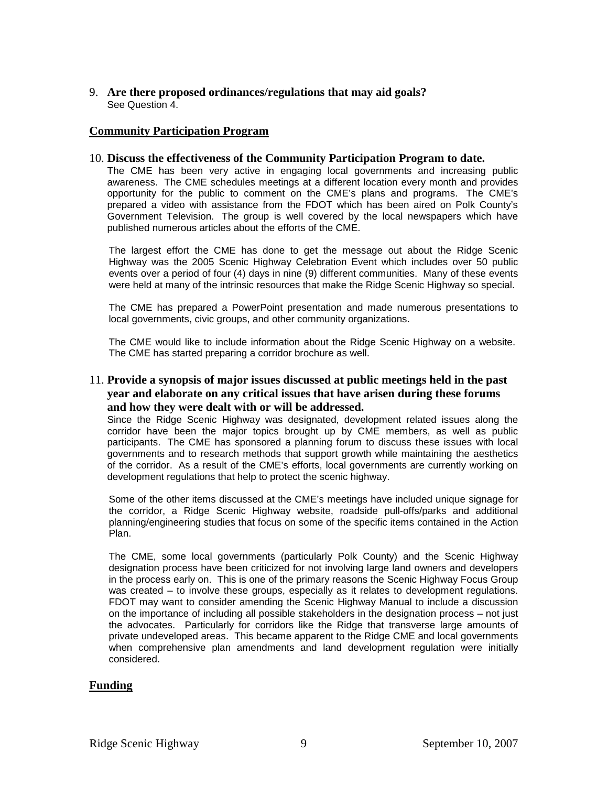### 9. **Are there proposed ordinances/regulations that may aid goals?**  See Question 4.

### **Community Participation Program**

#### 10. **Discuss the effectiveness of the Community Participation Program to date.**

The CME has been very active in engaging local governments and increasing public awareness. The CME schedules meetings at a different location every month and provides opportunity for the public to comment on the CME's plans and programs. The CME's prepared a video with assistance from the FDOT which has been aired on Polk County's Government Television. The group is well covered by the local newspapers which have published numerous articles about the efforts of the CME.

The largest effort the CME has done to get the message out about the Ridge Scenic Highway was the 2005 Scenic Highway Celebration Event which includes over 50 public events over a period of four (4) days in nine (9) different communities. Many of these events were held at many of the intrinsic resources that make the Ridge Scenic Highway so special.

The CME has prepared a PowerPoint presentation and made numerous presentations to local governments, civic groups, and other community organizations.

The CME would like to include information about the Ridge Scenic Highway on a website. The CME has started preparing a corridor brochure as well.

### 11. **Provide a synopsis of major issues discussed at public meetings held in the past year and elaborate on any critical issues that have arisen during these forums and how they were dealt with or will be addressed.**

Since the Ridge Scenic Highway was designated, development related issues along the corridor have been the major topics brought up by CME members, as well as public participants. The CME has sponsored a planning forum to discuss these issues with local governments and to research methods that support growth while maintaining the aesthetics of the corridor. As a result of the CME's efforts, local governments are currently working on development regulations that help to protect the scenic highway.

Some of the other items discussed at the CME's meetings have included unique signage for the corridor, a Ridge Scenic Highway website, roadside pull-offs/parks and additional planning/engineering studies that focus on some of the specific items contained in the Action Plan.

The CME, some local governments (particularly Polk County) and the Scenic Highway designation process have been criticized for not involving large land owners and developers in the process early on. This is one of the primary reasons the Scenic Highway Focus Group was created – to involve these groups, especially as it relates to development regulations. FDOT may want to consider amending the Scenic Highway Manual to include a discussion on the importance of including all possible stakeholders in the designation process – not just the advocates. Particularly for corridors like the Ridge that transverse large amounts of private undeveloped areas. This became apparent to the Ridge CME and local governments when comprehensive plan amendments and land development regulation were initially considered.

#### **Funding**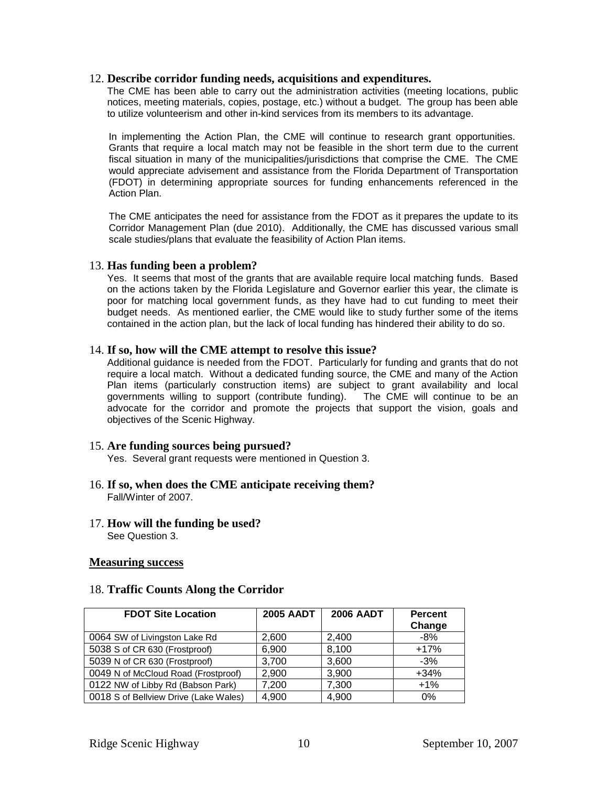#### 12. **Describe corridor funding needs, acquisitions and expenditures.**

The CME has been able to carry out the administration activities (meeting locations, public notices, meeting materials, copies, postage, etc.) without a budget. The group has been able to utilize volunteerism and other in-kind services from its members to its advantage.

In implementing the Action Plan, the CME will continue to research grant opportunities. Grants that require a local match may not be feasible in the short term due to the current fiscal situation in many of the municipalities/jurisdictions that comprise the CME. The CME would appreciate advisement and assistance from the Florida Department of Transportation (FDOT) in determining appropriate sources for funding enhancements referenced in the Action Plan.

The CME anticipates the need for assistance from the FDOT as it prepares the update to its Corridor Management Plan (due 2010). Additionally, the CME has discussed various small scale studies/plans that evaluate the feasibility of Action Plan items.

#### 13. **Has funding been a problem?**

Yes. It seems that most of the grants that are available require local matching funds. Based on the actions taken by the Florida Legislature and Governor earlier this year, the climate is poor for matching local government funds, as they have had to cut funding to meet their budget needs. As mentioned earlier, the CME would like to study further some of the items contained in the action plan, but the lack of local funding has hindered their ability to do so.

#### 14. **If so, how will the CME attempt to resolve this issue?**

Additional guidance is needed from the FDOT. Particularly for funding and grants that do not require a local match. Without a dedicated funding source, the CME and many of the Action Plan items (particularly construction items) are subject to grant availability and local governments willing to support (contribute funding). The CME will continue to be an advocate for the corridor and promote the projects that support the vision, goals and objectives of the Scenic Highway.

#### 15. **Are funding sources being pursued?**

Yes. Several grant requests were mentioned in Question 3.

- 16. **If so, when does the CME anticipate receiving them?**  Fall/Winter of 2007.
- 17. **How will the funding be used?**  See Question 3.

#### **Measuring success**

#### 18. **Traffic Counts Along the Corridor**

| <b>FDOT Site Location</b>             | <b>2005 AADT</b> | <b>2006 AADT</b> | <b>Percent</b><br>Change |
|---------------------------------------|------------------|------------------|--------------------------|
| 0064 SW of Livingston Lake Rd         | 2.600            | 2,400            | $-8%$                    |
| 5038 S of CR 630 (Frostproof)         | 6,900            | 8,100            | $+17%$                   |
| 5039 N of CR 630 (Frostproof)         | 3,700            | 3,600            | $-3%$                    |
| 0049 N of McCloud Road (Frostproof)   | 2,900            | 3,900            | $+34%$                   |
| 0122 NW of Libby Rd (Babson Park)     | 7,200            | 7,300            | $+1%$                    |
| 0018 S of Bellview Drive (Lake Wales) | 4,900            | 4,900            | $0\%$                    |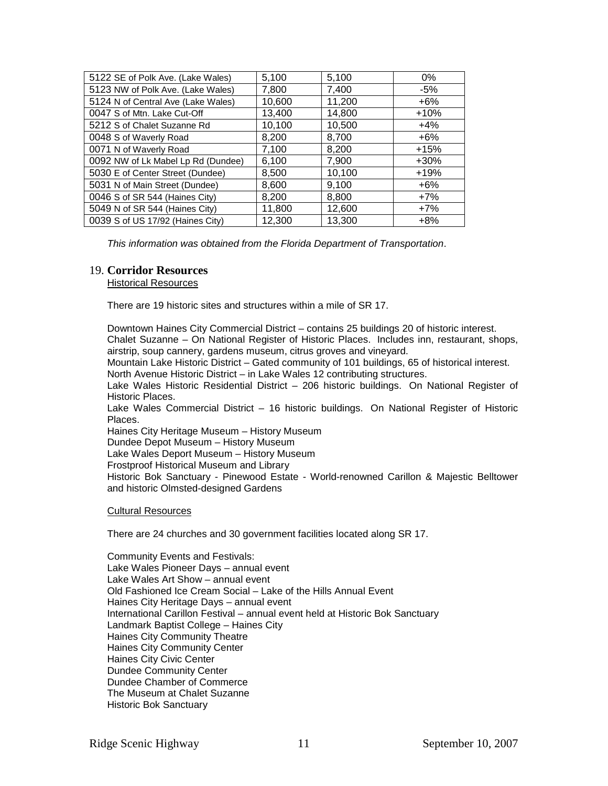| 5122 SE of Polk Ave. (Lake Wales)  | 5,100  | 5,100  | 0%      |
|------------------------------------|--------|--------|---------|
| 5123 NW of Polk Ave. (Lake Wales)  | 7,800  | 7,400  | $-5%$   |
| 5124 N of Central Ave (Lake Wales) | 10,600 | 11,200 | $+6%$   |
| 0047 S of Mtn. Lake Cut-Off        | 13,400 | 14,800 | $+10%$  |
| 5212 S of Chalet Suzanne Rd        | 10,100 | 10,500 | $+4%$   |
| 0048 S of Waverly Road             | 8,200  | 8,700  | $+6%$   |
| 0071 N of Waverly Road             | 7,100  | 8,200  | $+15%$  |
| 0092 NW of Lk Mabel Lp Rd (Dundee) | 6,100  | 7,900  | $+30\%$ |
| 5030 E of Center Street (Dundee)   | 8,500  | 10,100 | $+19%$  |
| 5031 N of Main Street (Dundee)     | 8,600  | 9,100  | $+6\%$  |
| 0046 S of SR 544 (Haines City)     | 8,200  | 8,800  | $+7%$   |
| 5049 N of SR 544 (Haines City)     | 11,800 | 12,600 | $+7%$   |
| 0039 S of US 17/92 (Haines City)   | 12,300 | 13,300 | $+8%$   |

*This information was obtained from the Florida Department of Transportation*.

#### 19. **Corridor Resources**

Historical Resources

There are 19 historic sites and structures within a mile of SR 17.

Downtown Haines City Commercial District – contains 25 buildings 20 of historic interest. Chalet Suzanne – On National Register of Historic Places. Includes inn, restaurant, shops, airstrip, soup cannery, gardens museum, citrus groves and vineyard.

Mountain Lake Historic District – Gated community of 101 buildings, 65 of historical interest. North Avenue Historic District – in Lake Wales 12 contributing structures.

Lake Wales Historic Residential District – 206 historic buildings. On National Register of Historic Places.

Lake Wales Commercial District – 16 historic buildings. On National Register of Historic **Places** 

Haines City Heritage Museum – History Museum

Dundee Depot Museum – History Museum

Lake Wales Deport Museum – History Museum

Frostproof Historical Museum and Library

Historic Bok Sanctuary - Pinewood Estate - World-renowned Carillon & Majestic Belltower and historic Olmsted-designed Gardens

Cultural Resources

There are 24 churches and 30 government facilities located along SR 17.

Community Events and Festivals: Lake Wales Pioneer Days – annual event Lake Wales Art Show – annual event Old Fashioned Ice Cream Social – Lake of the Hills Annual Event Haines City Heritage Days – annual event International Carillon Festival – annual event held at Historic Bok Sanctuary Landmark Baptist College – Haines City Haines City Community Theatre Haines City Community Center Haines City Civic Center Dundee Community Center Dundee Chamber of Commerce The Museum at Chalet Suzanne Historic Bok Sanctuary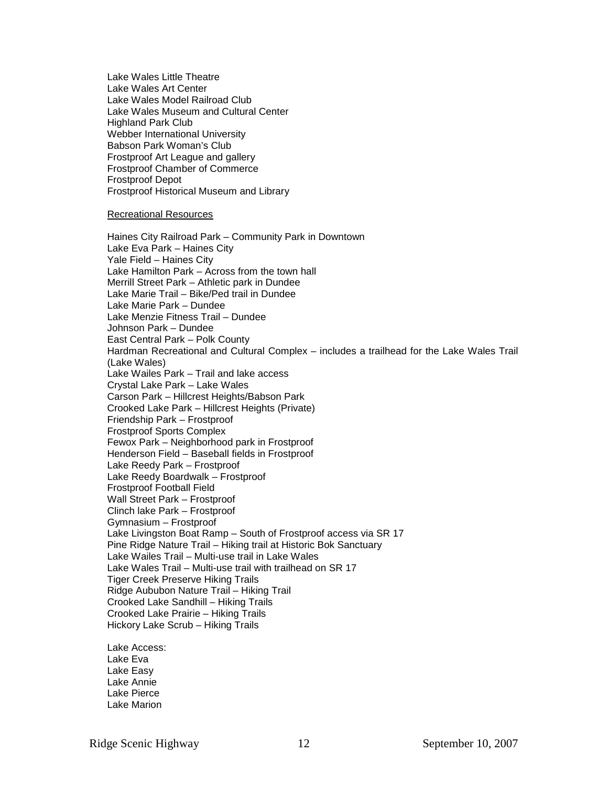Lake Wales Little Theatre Lake Wales Art Center Lake Wales Model Railroad Club Lake Wales Museum and Cultural Center Highland Park Club Webber International University Babson Park Woman's Club Frostproof Art League and gallery Frostproof Chamber of Commerce Frostproof Depot Frostproof Historical Museum and Library

#### Recreational Resources

Haines City Railroad Park – Community Park in Downtown Lake Eva Park – Haines City Yale Field – Haines City Lake Hamilton Park – Across from the town hall Merrill Street Park – Athletic park in Dundee Lake Marie Trail – Bike/Ped trail in Dundee Lake Marie Park – Dundee Lake Menzie Fitness Trail – Dundee Johnson Park – Dundee East Central Park – Polk County Hardman Recreational and Cultural Complex – includes a trailhead for the Lake Wales Trail (Lake Wales) Lake Wailes Park – Trail and lake access Crystal Lake Park – Lake Wales Carson Park – Hillcrest Heights/Babson Park Crooked Lake Park – Hillcrest Heights (Private) Friendship Park – Frostproof Frostproof Sports Complex Fewox Park – Neighborhood park in Frostproof Henderson Field – Baseball fields in Frostproof Lake Reedy Park – Frostproof Lake Reedy Boardwalk – Frostproof Frostproof Football Field Wall Street Park – Frostproof Clinch lake Park – Frostproof Gymnasium – Frostproof Lake Livingston Boat Ramp – South of Frostproof access via SR 17 Pine Ridge Nature Trail – Hiking trail at Historic Bok Sanctuary Lake Wailes Trail – Multi-use trail in Lake Wales Lake Wales Trail – Multi-use trail with trailhead on SR 17 Tiger Creek Preserve Hiking Trails Ridge Aububon Nature Trail – Hiking Trail Crooked Lake Sandhill – Hiking Trails Crooked Lake Prairie – Hiking Trails Hickory Lake Scrub – Hiking Trails

Lake Access: Lake Eva Lake Easy Lake Annie Lake Pierce Lake Marion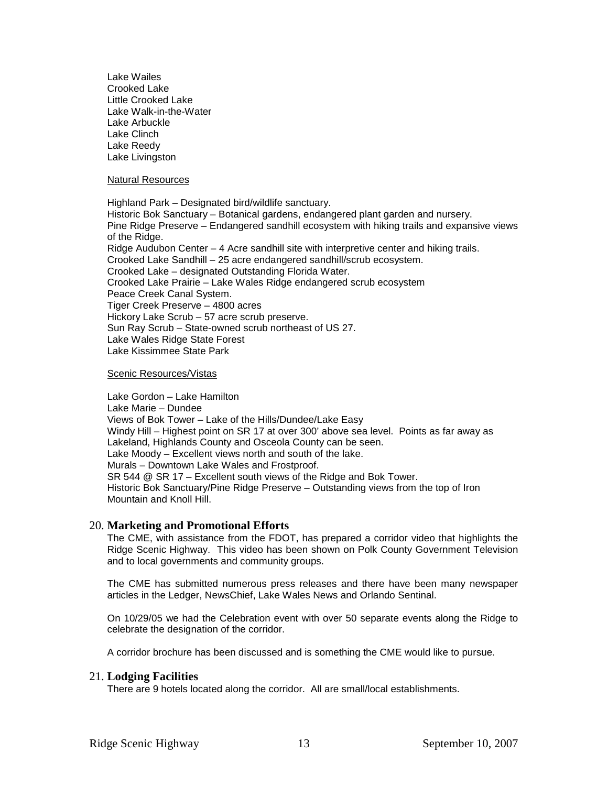Lake Wailes Crooked Lake Little Crooked Lake Lake Walk-in-the-Water Lake Arbuckle Lake Clinch Lake Reedy Lake Livingston

Natural Resources

Highland Park – Designated bird/wildlife sanctuary. Historic Bok Sanctuary – Botanical gardens, endangered plant garden and nursery. Pine Ridge Preserve – Endangered sandhill ecosystem with hiking trails and expansive views of the Ridge. Ridge Audubon Center – 4 Acre sandhill site with interpretive center and hiking trails. Crooked Lake Sandhill – 25 acre endangered sandhill/scrub ecosystem. Crooked Lake – designated Outstanding Florida Water. Crooked Lake Prairie – Lake Wales Ridge endangered scrub ecosystem Peace Creek Canal System. Tiger Creek Preserve – 4800 acres Hickory Lake Scrub – 57 acre scrub preserve. Sun Ray Scrub – State-owned scrub northeast of US 27. Lake Wales Ridge State Forest Lake Kissimmee State Park

Scenic Resources/Vistas

Lake Gordon – Lake Hamilton Lake Marie – Dundee Views of Bok Tower – Lake of the Hills/Dundee/Lake Easy Windy Hill – Highest point on SR 17 at over 300' above sea level. Points as far away as Lakeland, Highlands County and Osceola County can be seen. Lake Moody – Excellent views north and south of the lake. Murals – Downtown Lake Wales and Frostproof. SR 544 @ SR 17 – Excellent south views of the Ridge and Bok Tower. Historic Bok Sanctuary/Pine Ridge Preserve – Outstanding views from the top of Iron Mountain and Knoll Hill.

#### 20. **Marketing and Promotional Efforts**

The CME, with assistance from the FDOT, has prepared a corridor video that highlights the Ridge Scenic Highway. This video has been shown on Polk County Government Television and to local governments and community groups.

The CME has submitted numerous press releases and there have been many newspaper articles in the Ledger, NewsChief, Lake Wales News and Orlando Sentinal.

On 10/29/05 we had the Celebration event with over 50 separate events along the Ridge to celebrate the designation of the corridor.

A corridor brochure has been discussed and is something the CME would like to pursue.

#### 21. **Lodging Facilities**

There are 9 hotels located along the corridor. All are small/local establishments.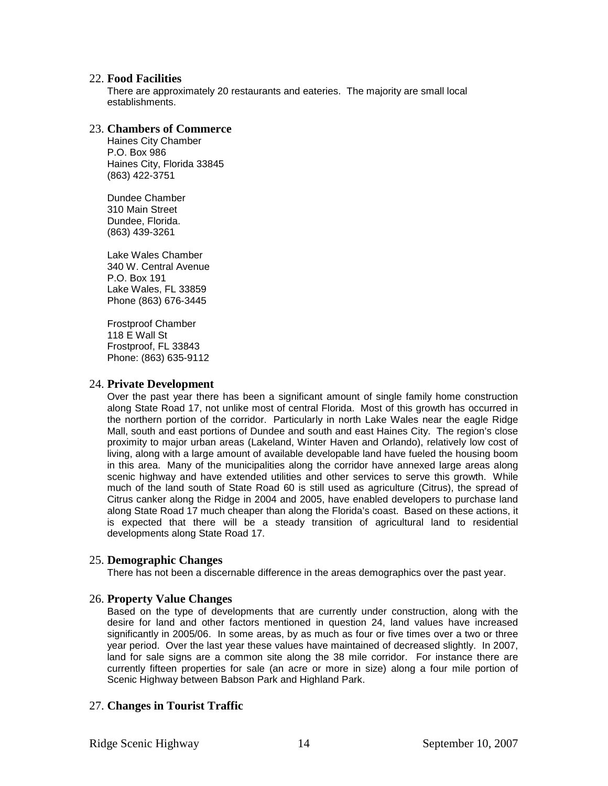#### 22. **Food Facilities**

There are approximately 20 restaurants and eateries. The majority are small local establishments.

#### 23. **Chambers of Commerce**

Haines City Chamber P.O. Box 986 Haines City, Florida 33845 (863) 422-3751

Dundee Chamber 310 Main Street Dundee, Florida. (863) 439-3261

Lake Wales Chamber 340 W. Central Avenue P.O. Box 191 Lake Wales, FL 33859 Phone (863) 676-3445

Frostproof Chamber 118 E Wall St Frostproof, FL 33843 Phone: (863) 635-9112

#### 24. **Private Development**

Over the past year there has been a significant amount of single family home construction along State Road 17, not unlike most of central Florida. Most of this growth has occurred in the northern portion of the corridor. Particularly in north Lake Wales near the eagle Ridge Mall, south and east portions of Dundee and south and east Haines City. The region's close proximity to major urban areas (Lakeland, Winter Haven and Orlando), relatively low cost of living, along with a large amount of available developable land have fueled the housing boom in this area. Many of the municipalities along the corridor have annexed large areas along scenic highway and have extended utilities and other services to serve this growth. While much of the land south of State Road 60 is still used as agriculture (Citrus), the spread of Citrus canker along the Ridge in 2004 and 2005, have enabled developers to purchase land along State Road 17 much cheaper than along the Florida's coast. Based on these actions, it is expected that there will be a steady transition of agricultural land to residential developments along State Road 17.

#### 25. **Demographic Changes**

There has not been a discernable difference in the areas demographics over the past year.

#### 26. **Property Value Changes**

Based on the type of developments that are currently under construction, along with the desire for land and other factors mentioned in question 24, land values have increased significantly in 2005/06. In some areas, by as much as four or five times over a two or three year period. Over the last year these values have maintained of decreased slightly. In 2007, land for sale signs are a common site along the 38 mile corridor. For instance there are currently fifteen properties for sale (an acre or more in size) along a four mile portion of Scenic Highway between Babson Park and Highland Park.

### 27. **Changes in Tourist Traffic**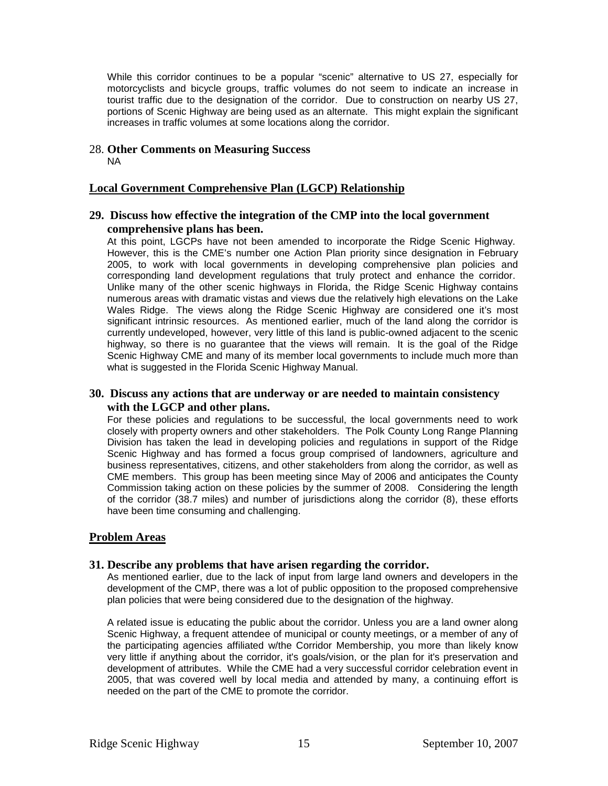While this corridor continues to be a popular "scenic" alternative to US 27, especially for motorcyclists and bicycle groups, traffic volumes do not seem to indicate an increase in tourist traffic due to the designation of the corridor. Due to construction on nearby US 27, portions of Scenic Highway are being used as an alternate. This might explain the significant increases in traffic volumes at some locations along the corridor.

#### 28. **Other Comments on Measuring Success**  NA

### **Local Government Comprehensive Plan (LGCP) Relationship**

### **29. Discuss how effective the integration of the CMP into the local government comprehensive plans has been.**

At this point, LGCPs have not been amended to incorporate the Ridge Scenic Highway. However, this is the CME's number one Action Plan priority since designation in February 2005, to work with local governments in developing comprehensive plan policies and corresponding land development regulations that truly protect and enhance the corridor. Unlike many of the other scenic highways in Florida, the Ridge Scenic Highway contains numerous areas with dramatic vistas and views due the relatively high elevations on the Lake Wales Ridge. The views along the Ridge Scenic Highway are considered one it's most significant intrinsic resources. As mentioned earlier, much of the land along the corridor is currently undeveloped, however, very little of this land is public-owned adjacent to the scenic highway, so there is no guarantee that the views will remain. It is the goal of the Ridge Scenic Highway CME and many of its member local governments to include much more than what is suggested in the Florida Scenic Highway Manual.

### **30. Discuss any actions that are underway or are needed to maintain consistency with the LGCP and other plans.**

For these policies and regulations to be successful, the local governments need to work closely with property owners and other stakeholders. The Polk County Long Range Planning Division has taken the lead in developing policies and regulations in support of the Ridge Scenic Highway and has formed a focus group comprised of landowners, agriculture and business representatives, citizens, and other stakeholders from along the corridor, as well as CME members. This group has been meeting since May of 2006 and anticipates the County Commission taking action on these policies by the summer of 2008. Considering the length of the corridor (38.7 miles) and number of jurisdictions along the corridor (8), these efforts have been time consuming and challenging.

### **Problem Areas**

### **31. Describe any problems that have arisen regarding the corridor.**

As mentioned earlier, due to the lack of input from large land owners and developers in the development of the CMP, there was a lot of public opposition to the proposed comprehensive plan policies that were being considered due to the designation of the highway.

A related issue is educating the public about the corridor. Unless you are a land owner along Scenic Highway, a frequent attendee of municipal or county meetings, or a member of any of the participating agencies affiliated w/the Corridor Membership, you more than likely know very little if anything about the corridor, it's goals/vision, or the plan for it's preservation and development of attributes. While the CME had a very successful corridor celebration event in 2005, that was covered well by local media and attended by many, a continuing effort is needed on the part of the CME to promote the corridor.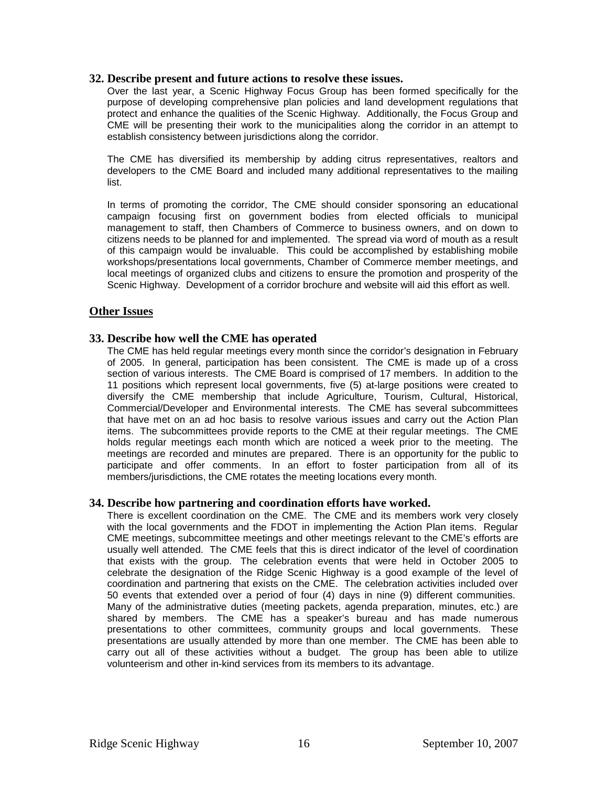#### **32. Describe present and future actions to resolve these issues.**

Over the last year, a Scenic Highway Focus Group has been formed specifically for the purpose of developing comprehensive plan policies and land development regulations that protect and enhance the qualities of the Scenic Highway. Additionally, the Focus Group and CME will be presenting their work to the municipalities along the corridor in an attempt to establish consistency between jurisdictions along the corridor.

The CME has diversified its membership by adding citrus representatives, realtors and developers to the CME Board and included many additional representatives to the mailing list.

In terms of promoting the corridor, The CME should consider sponsoring an educational campaign focusing first on government bodies from elected officials to municipal management to staff, then Chambers of Commerce to business owners, and on down to citizens needs to be planned for and implemented. The spread via word of mouth as a result of this campaign would be invaluable. This could be accomplished by establishing mobile workshops/presentations local governments, Chamber of Commerce member meetings, and local meetings of organized clubs and citizens to ensure the promotion and prosperity of the Scenic Highway. Development of a corridor brochure and website will aid this effort as well.

#### **Other Issues**

#### **33. Describe how well the CME has operated**

The CME has held regular meetings every month since the corridor's designation in February of 2005. In general, participation has been consistent. The CME is made up of a cross section of various interests. The CME Board is comprised of 17 members. In addition to the 11 positions which represent local governments, five (5) at-large positions were created to diversify the CME membership that include Agriculture, Tourism, Cultural, Historical, Commercial/Developer and Environmental interests. The CME has several subcommittees that have met on an ad hoc basis to resolve various issues and carry out the Action Plan items. The subcommittees provide reports to the CME at their regular meetings. The CME holds regular meetings each month which are noticed a week prior to the meeting. The meetings are recorded and minutes are prepared. There is an opportunity for the public to participate and offer comments. In an effort to foster participation from all of its members/jurisdictions, the CME rotates the meeting locations every month.

#### **34. Describe how partnering and coordination efforts have worked.**

There is excellent coordination on the CME. The CME and its members work very closely with the local governments and the FDOT in implementing the Action Plan items. Regular CME meetings, subcommittee meetings and other meetings relevant to the CME's efforts are usually well attended. The CME feels that this is direct indicator of the level of coordination that exists with the group. The celebration events that were held in October 2005 to celebrate the designation of the Ridge Scenic Highway is a good example of the level of coordination and partnering that exists on the CME. The celebration activities included over 50 events that extended over a period of four (4) days in nine (9) different communities. Many of the administrative duties (meeting packets, agenda preparation, minutes, etc.) are shared by members. The CME has a speaker's bureau and has made numerous presentations to other committees, community groups and local governments. These presentations are usually attended by more than one member. The CME has been able to carry out all of these activities without a budget. The group has been able to utilize volunteerism and other in-kind services from its members to its advantage.